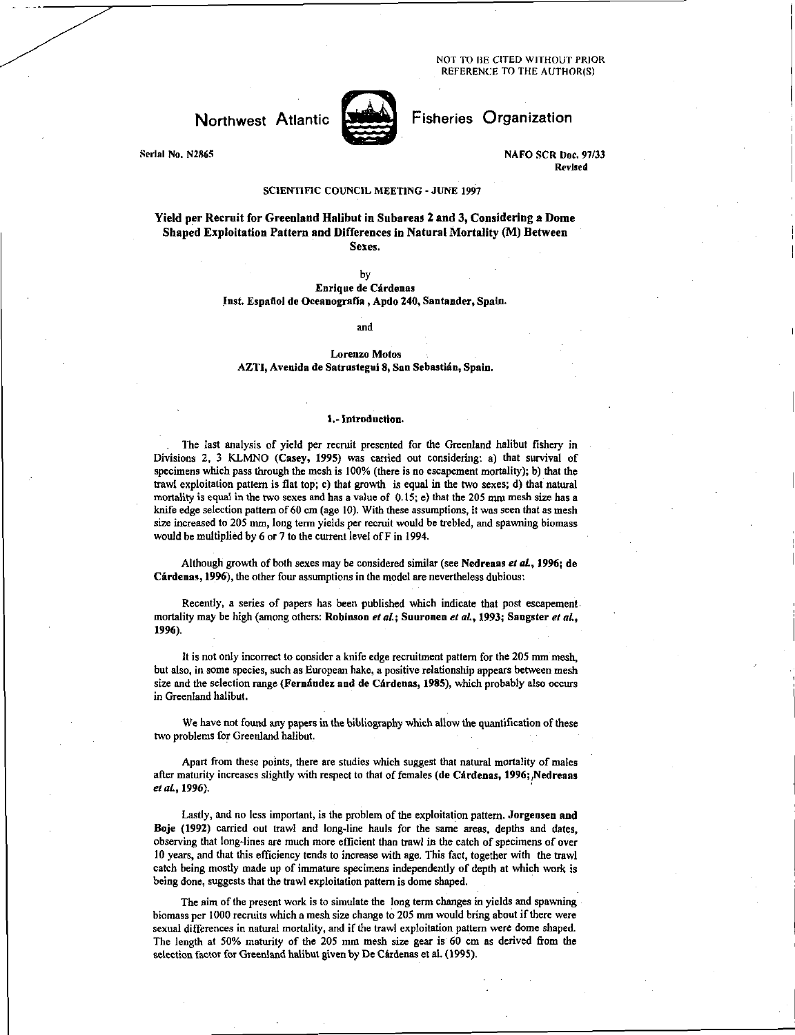NOT TO BE CITED WITHOUT PRIOR REFERENCE TO THE AUTHOR(S)

## Northwest Atlantic

Serial No. N2865

Fisheries Organization

NAFO SCR Doc. 97/33 Revised

## SCIENTIFIC COUNCIL MEETING - JUNE 1997

Yield per Recruit for Greenland Halibut in Subareas 2 and 3, Considering a Dome Shaped Exploitation Pattern and Differences in Natural Mortality (M) Between Sexes.

by

Enrique de Oirdenas Inst. Espafiol de Oceanografla , Apdo 240, Santander, Spain.

and

Lorenzo Motos AZTI, Avenida de Satrustegui 8, San Sebastian, Spain.

### 1.- Introduction.

The last analysis of yield per recruit presented for the Greenland halibut fishery in Divisions 2, 3 KLMNO (Casey, 1995) was carried out considering: a) that survival of specimens which pass through the mesh is 100% (there is no escapement mortality); b) that the trawl exploitation pattern is flat top; c) that growth is equal in the two sexes; d) that natural mortality is equal in the two sexes and has a value of 0.15; e) that the 205 mm mesh size has a knife edge selection pattern of 60 cm (age 10). With these assumptions, it was seen that as mesh size increased to 205 mm, long term yields per recruit would be trebled, and spawning biomass would be multiplied by 6 or 7 to the current level of F in 1994.

Although growth of both sexes may be considered similar (see Nedreaas et al., 1996; de Cardenas, 1996), the other four assumptions in the model are nevertheless dubious:

Recently, a series of papers has been published which indicate that post escapement mortality may be high (among others: Robinson *et at;* Suuronen *et at,* 1993; Sangster *at*  1996).

It is not only incorrect to consider a knife edge recruitment pattern for the 205 mm mesh, but also, in some species, such as European hake, a positive relationship appears between mesh size and the selection range (Fernández and de Cárdenas, 1985), which probably also occurs in Greenland halibut.

We have not found any papers in the bibliography which allow the quantification of these two problems for Greenland halibut.

Apart from these points, there are studies which suggest that natural mortality of males after maturity increases slightly with respect to that of females (de Cárdenas, 1996; Nedreaas *et al.*, 1996).

Lastly, and no less important, is the problem of the exploitation pattern. Jorgensen and Boje (1992) carried out trawl and long-line hauls for the same areas, depths and dates, observing that long-lines are much more efficient than trawl in the catch of specimens of over 10 years, and that this efficiency tends to increase with age. This fact, together with the trawl catch being mostly made up of immature specimens independently of depth at which work is being done, suggests that the trawl exploitation pattern is dome shaped.

The aim of the present work is to simulate the long term changes in yields and spawning biomass per 1000 recruits which a mesh size change to 205 mm would bring about if there were sexual differences in natural mortality, and if the trawl exploitation pattern were dome shaped. The length at 50% maturity of the 205 mm mesh size gear is 60 cm as derived from the selection factor for Greenland halibut given by De Cárdenas et al. (1995).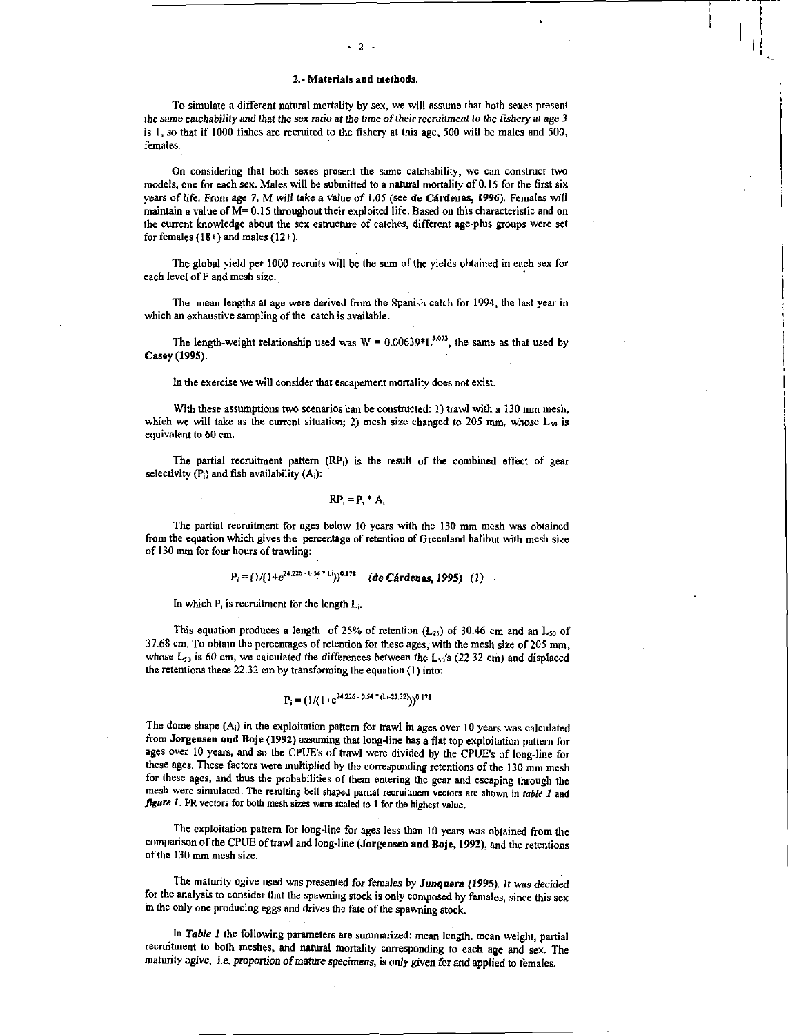$-2$ 

To simulate a different natural mortality by sex, we will assume that both sexes present *the same catchability and that the sex ratio at the time of their recruitment to the fishery at age 3 is I,* so that if 1000 fishes are recruited to the fishery at this age, 500 will be males and 500, females.

On considering that both sexes present the same catchability, we can construct two models, one for each sex. Males will be submitted to a natural mortality of 0.15 for the first six years of life. From age 7, M will take a value of 1.05 (see **de Cardenas, 1996).** Females will maintain a value of  $M=0.15$  throughout their exploited life. Based on this characteristic and on the current knowledge about the sex estructure of catches, different age-plus groups were set for females  $(18+)$  and males  $(12+)$ .

The global yield per 1000 recruits will be the sum of the yields obtained in each sex for each level of F and mesh size.

The mean lengths at age were derived from the Spanish catch for 1994, the last year in which an exhaustive sampling of the catch is available.

The length-weight relationship used was  $W = 0.00639 \times L^{3.073}$ , the same as that used by Casey **(1995).** 

In the exercise we will consider that escapement mortality does not exist.

With these assumptions two scenarios can be constructed: 1) trawl with a 130 mm mesh, which we will take as the current situation; 2) mesh size changed to 205 mm, whose  $L_{50}$  is equivalent to 60 cm.

The partial recruitment pattern (RP<sub>i</sub>) is the result of the combined effect of gear selectivity  $(P_i)$  and fish availability  $(A_i)$ :

$$
\mathbf{RP}_i = \mathbf{P}_i \cdot \mathbf{A}_i
$$

The partial recruitment for ages below 10 years with the 130 mm mesh was obtained from the equation which gives the percentage of retention of Greenland halibut with mesh size of 130 mm for four hours of trawling:

$$
P_i = (1/(1 + e^{24.226 - 0.54 \cdot 1/\delta}))^{0.178}
$$
 (de Cárdenas, 1995) (1)

In which  $P_i$  is recruitment for the length  $L_i$ .

This equation produces a length of 25% of retention  $(L_{25})$  of 30.46 cm and an L<sub>50</sub> of 37.68 cm. To obtain the percentages of retention **for these ages,** with the mesh size of 205 mm, whose L<sub>50</sub> is 60 cm, we calculated the differences between the L<sub>50</sub>'s (22.32 cm) and displaced the retentions these 22.32 cm by transforming the equation (I) into:

# $P_i = (1/(1+e^{24.226 + 0.54 + (1.422.32)}))^{0.178}$

The dome shape  $(A_i)$  in the exploitation pattern for trawl in ages over 10 years was calculated from **Jorgensen and Boje (1992)** assuming that long-line has a flat top exploitation pattern for ages over 10 years, and so the CPUE's of trawl were divided by the CPUE's of long-line for these ages. These factors were multiplied by the corresponding retentions of the 130 mm mesh for these ages, and thus the probabilities of them entering the gear and escaping through the mesh were simulated. The resulting bell shaped partial recruitment vectors are shown in *table I* and *figure* I. PR vectors for both mesh sizes were Scaled to I for the highest value.

The exploitation pattern for long-line for ages less than 10 years was obtained from the comparison of the CPUE of trawl and long-line **(Jorgensen and Boje, 1992),** and the retentions of the 130 mm mesh size.

The maturity ogive used was presented *for females by Junquera (1995). It was decided*  for the analysis to consider that the spawning stock is only composed by females, since this sex in the only one producing eggs and drives the fate of the spawning stock.

In *Table 1* the following parameters are summarized: mean length, mean weight, partial recruitment to both meshes, and natural mortality corresponding to each age and sex. The maturity ogive, *i.e. proportion of mature specimens,* is only given for and applied to females.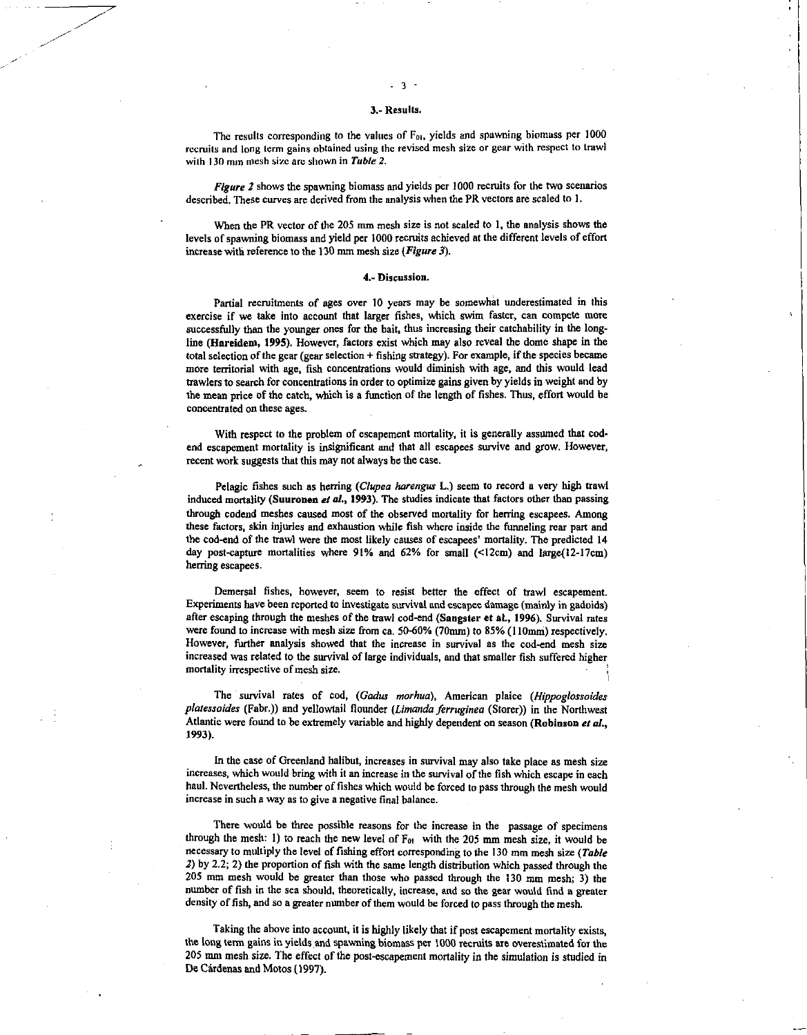### 3.- Results.

 $-3-$ 

The results corresponding to the values of  $F_{01}$ , yields and spawning biomass per 1000 recruits and long term gains obtained using the revised mesh size or gear with respect to trawl with 130 mm mesh size arc shown in *Table 2.* 

*Figure 2* shows the spawning biomass and yields per 1000 recruits for the two scenarios described. These curves are derived from the analysis when the PR vectors are scaled to 1.

When the PR vector of the 205 mm mesh size is not scaled to I, the analysis shows the levels of spawning biomass and yield per 1000 recruits achieved at the different levels of effort increase with reference to the 130 mm mesh size *(Figure 3).* 

## **4.-** Discussion.

Partial recruitments of ages over 10 years may be somewhat underestimated in this exercise if we take into account that larger fishes, which swim faster, can compete more successfully than the younger ones for the bait, thus increasing their catchability in the longline (Hareidem, 1995). However, factors exist which may also reveal the dome shape in the total selection of the gear (gear selection  $+$  fishing strategy). For example, if the species became more territorial with age, fish concentrations would diminish with age, and this would lead trawlers to search for concentrations in order to optimize gains given by yields in weight and by the mean price of the catch, which is a function of the length of fishes. Thus, effort would be concentrated on these ages.

With respect to the problem of escapement mortality, it is generally assumed that codend escapement mortality is insignificant and that all escapees survive and grow. However, recent work suggests that this may not always be the case.

Pelagic fishes such as herring *(Ciupea harengus* L.) seem to record a very high trawl induced mortality (Suuronen *el at,* 1993). The studies indicate that factors other than passing through codend meshes caused most of the observed mortality for herring escapees. Among these factors, skin injuries and exhaustion while fish where inside the funneling rear part and the cod-end of the trawl were the most likely causes of escapees' mortality. The predicted 14 day post-capture mortalities where 91% and 62% for small (<12cm) and large(12-17cm) herring escapees.

Demersal fishes, however, seem to resist better the effect of trawl escapement. Experiments have been reported to investigate survival and escapee damage (mainly in gadoids) after escaping through the meshes of the trawl cod-end (Sangster et al., 1996). Survival rates were found to increase with mesh size from ca. 50-60% (70mm) to 85% (110mm) respectively. However, further analysis showed that the increase in survival as the cod-end mesh size increased was related to the survival of large individuals, and that smaller fish suffered higher mortality irrespective of mesh size.

The survival rates of cod, *(Gadus morhua)*, American plaice *(Hippoglossoides platessoides* (Fabr.)) and yellowtail flounder *(Limanda ferruginea* (Storer)) in the Northwest Atlantic were found to be extremely variable and highly dependent on season (Robinson et al., 1993).

In the case of Greenland halibut, increases in survival may also take place as mesh size increases, which would bring with it an increase in the survival of the fish which escape in each haul. Nevertheless, the number of fishes which would be forced to pass through the mesh would increase in such a way as to give a negative final balance.

There would be three possible reasons for the increase in the passage of specimens through the mesh: 1) to reach the new level of  $F_{01}$  with the 205 mm mesh size, it would be necessary to multiply the level of fishing effort corresponding to the 130 mm mesh size *(Table 2)* by 2.2; 2) the proportion of fish with the same length distribution which passed through the 205 mm mesh would be greater than those who passed through the 130 mm mesh; 3) the number of fish in the sea should, theoretically, increase, and so the gear would find a greater density of fish, and so a greater number of them would be forced to pass through the mesh.

Taking the above into account, it is highly likely that if post escapement mortality exists, the long term gains in yields and spawning biomass per 1000 recruits are overestimated for the 205 mm mesh size. The effect of the post-escapement mortality in the simulation is studied *in*  De Cardenas and Motos (1997).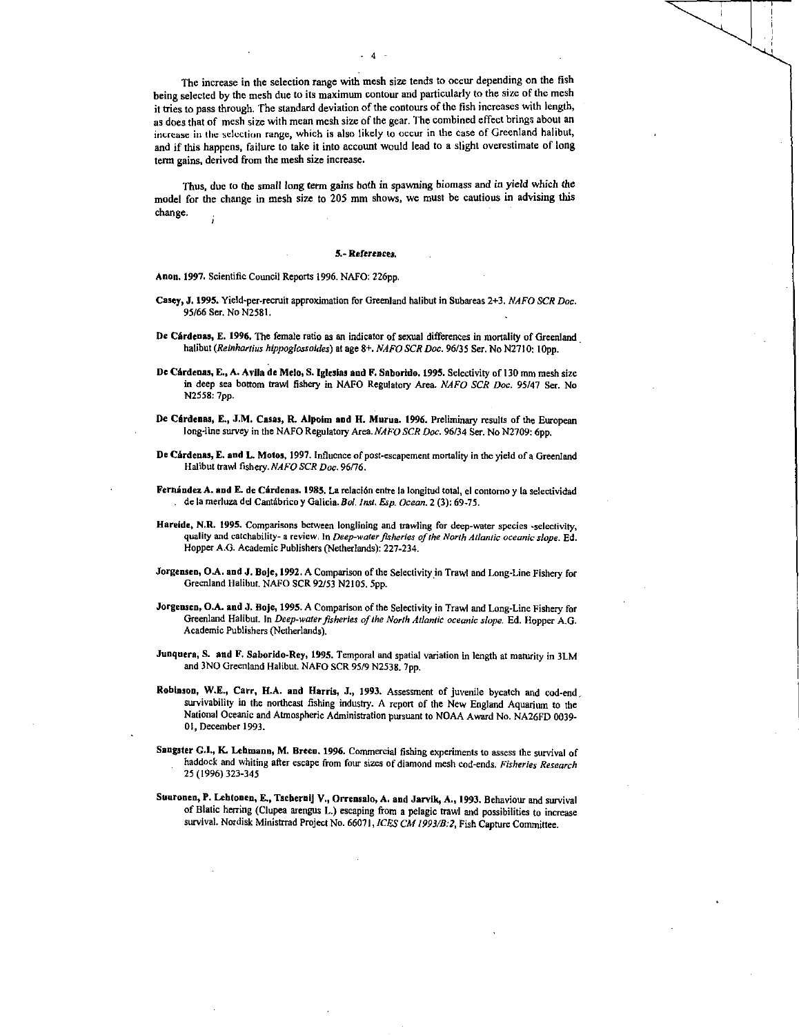The increase in the selection range with mesh size tends to occur depending on the fish being selected by the mesh due to its maximum contour and particularly to the size of the mesh it tries to pass through. The standard deviation of the contours of the fish increases with length, as does that of mesh size with mean mesh size of the gear. The combined effect brings about an increase in the selection range, which is also likely to occur in the case of Greenland halibut, and if this happens, failure to take it into account would lead to a slight overestimate of long term gains, derived from the mesh size increase.

Thus, due to the small long term gains both in spawning biomass and in yield which the model for the change in mesh size to 205 mm shows, we must be cautious in advising this change.

#### 5.- *References.*

Anon. 1997. Scientific Council Reports 1996. NAFO: 226pp.

- Casey, J. 1995. Yield-per-recruit approximation for Greenland halibut in Subareas 2+3. *NAFO SCR Doc.*  95/66 Ser. No N2581.
- De Cardenas, E. 1996. The female ratio as an indicator of sexual differences in mortality of Greenland halibut *(Reinhartius hippoglossoides)* at age 8+. *NAFO SCR Doc.* 96/35 Ser. No N2710: lOpp.
- De Cardenas, E., A. Avila de Melo, S. Iglesias and F. Saborido. 1995. Selectivity of 130 mm mesh size in deep sea bottom trawl fishery in NAFO Regulatory Area. *NAFO SCR Doc.* 95/47 Ser. No N2558: 7pp.
- De Cárdenas, E., J.M. Casas, R. Alpoim and H. Murua. 1996. Preliminary results of the European long-line survey in the NAFO Regulatory Area. NAFO SCR Doc. 96/34 Ser. No N2709: 6pp.
- De Cárdenas, E. and L. Motos, 1997. Influence of post-escapement mortality in the yield of a Greenland Halibut trawl fishery. *NAFO SCR Doc.* 96/76.
- Fernández A. and E. de Cárdenas. 1985. La relación entre la longitud total, el contomo y la selectividad de la merluza del Cantabrico y Galicia. *Bat Inst. Esp. Ocean.* 2 (3): 69-75.
- Hareide, N.R. 1995. Comparisons between longlining and trawling for deep-water species -selectivity, quality and catchability- a review, In *Deep-water fisheries of the North Atlaniic oceanic slope.* Ed. Hopper A.G. Academic Publishers (Netherlands): 227-234.
- Jorgensen, OA. and J. Boje, 1992. A Comparison of the Selectivity in Trawl and Long-Line Fishery for Greenland Halibut. NAFO SCR 92/53 N2105. 5pp.
- Jorgensen, O.A. and J. Boje, 1995. A Comparison of the Selectivity in Trawl and Long-Line Fishery for Greenland Halibut. In *Deep-water fisheries of the North Atlantic oceanic slope.* Ed. Hopper A.G. Academic Publishers (Netherlands).
- Junquera, S. and F. Saborido-Rey, 1995. Temporal and spatial variation in length at maturity in 3LM and 3NO Greenland Halibut. NAFO SCR 95/9 N2538. 7pp.
- Robinson, W.E., Carr, H.A. and Harris, J., 1993. Assessment of juvenile bycatch and cod-end , survivability in the northeast fishing industry. A report of the New England Aquarium to the National Oceanic and Atmospheric Administration pursuant to NOAA Award No. NA26FD 0039- 01, December 1993.
- Sangster CI, K. Lehmann, M. Breen. 1996. Commercial fishing experiments to assess the survival of haddock and whiting after escape from four sizes of diamond mesh cod-ends. *Fisheries Research*  25 (1996) 323-345
- Suuronen, P. Lebtoaen, E., Tschernij V., Orrensalo, A. and Jarvik, A., 1993. Behaviour and survival of Blatic herring (Clupea arengus L.) escaping from a pelagic trawl and possibilities to increase survival. Nordisk Ministrrad Project No. 66071, *ICES CM 1993/B:2,* Fish Capture Committee.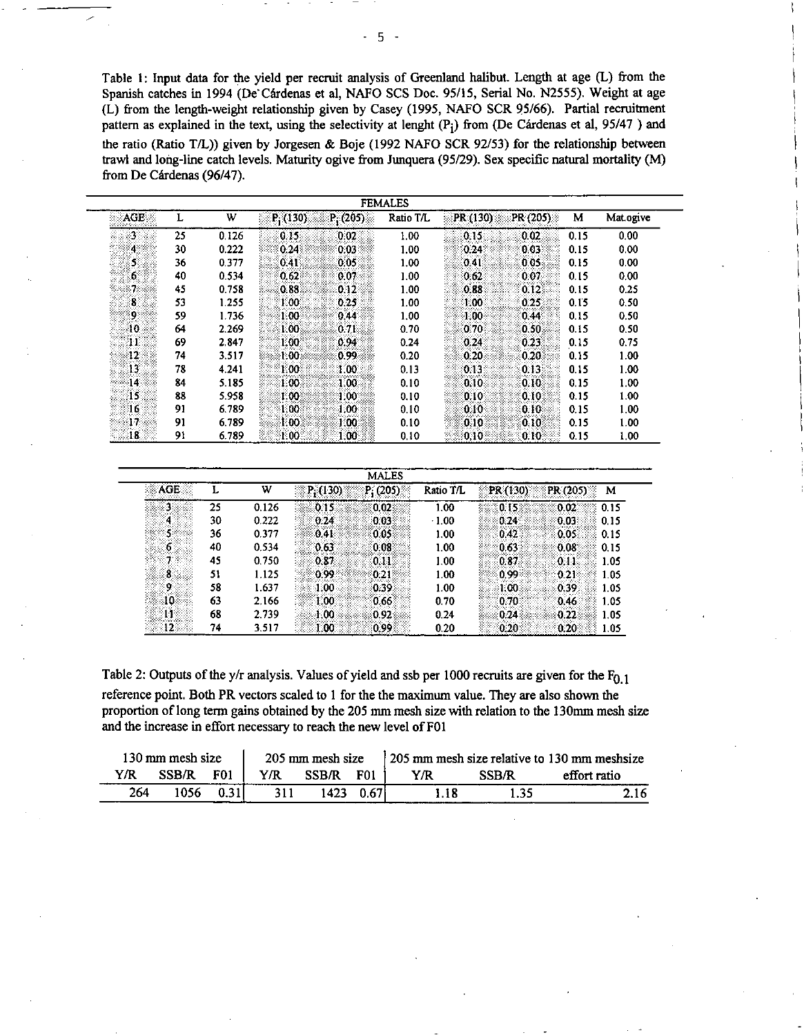Table 1: Input data for the yield per recruit analysis of Greenland halibut. Length at age (L) from the Spanish catches in 1994 (De Cárdenas et al, NAFO SCS Doc. 95/15, Serial No. N2555). Weight at age (L) from the length-weight relationship given by Casey (1995, NAFO SCR 95/66). Partial recruitment pattern as explained in the text, using the selectivity at lenght (P<sub>i</sub>) from (De Cárdenas et al, 95/47) and the ratio (Ratio T/L)) given by Jorgesen & Boje (1992 NAFO SCR 92/53) for the relationship between trawl and long-line catch levels. Maturity ogive from Junquera (95/29). Sex specific natural mortality (M) from De Cárdenas (96/47).

| <b>FEMALES</b>   |    |       |            |                   |           |          |          |      |           |
|------------------|----|-------|------------|-------------------|-----------|----------|----------|------|-----------|
| AGE.             |    | W     | $P_1(130)$ | P(205)            | Ratio T/L | PR (130) | PR (205) | м    | Mat.ogive |
| 3                | 25 | 0.126 | 0.15       | 0.02              | 1.00      | 0.15     | 0.02     | 0.15 | 0.00      |
| $\overline{4}$   | 30 | 0.222 | 0.24       | 0.03              | 1.00      | 0.24     | 0.03     | 0.15 | 0.00      |
| 5.               | 36 | 0.377 | 0.41       | 0.05              | 1.00      | 0.41     | 0.05     | 0.15 | 0.00      |
| $\mathbf{6}$     | 40 | 0.534 | 0.62       | 0.07              | 1.00      | 0.62     | 0.07     | 0.15 | 0.00      |
| 7.               | 45 | 0.758 | 0.88       | 0.12              | 1.00      | 0.88     | 0.12     | 0.15 | 0.25      |
| $\bf{8}$         | 53 | 1.255 | 1.00.      | 0.25              | 1.00      | 1.00.    | 0.25     | 0.15 | 0.50      |
| $\overline{9}$   | 59 | 1.736 | 100        | 0.44              | 1.00      | 1.00     | 0.44     | 0.15 | 0.50      |
| 10 <sub>10</sub> | 64 | 2.269 | 1.00       | 0.71              | 0.70      | 0.70     | 0.50     | 0.15 | 0.50      |
| 11               | 69 | 2.847 | 1.00       | 0.94              | 0.24      | 0.24     | 0.23     | 0.15 | 0.75      |
| $ 12\rangle$     | 74 | 3.517 | 1.00.      | 0.99              | 0.20      | 0.20     | 0.20     | 0.15 | 1.00      |
| 13               | 78 | 4.241 | 1.00       | 1.00.             | 0.13      | 0.13     | 0.13     | 0.15 | 1.00      |
| 14               | 84 | 5.185 | 1.00       | 1.00.             | 0.10      | 0.10     | 0.10     | 0.15 | 1.00      |
| -15              | 88 | 5.958 | 1.00       | 1.00 <sub>1</sub> | 0.10      | 0.10     | 0.10.    | 0.15 | 1.00      |
| 16               | 91 | 6.789 | 1.00       | 1.00              | 0.10      | 0.10     | 0.10     | 0.15 | 1.00      |
| $ 17\rangle$     | 91 | 6.789 | 1.00       | 1,00              | 0.10      | 0.10     | 0.10     | 0.15 | 1.00      |
| 18               | 91 | 6.789 | 1.00.      | 1.00              | 0.10      | 0.10     | 0.10     | 0.15 | 1,00      |

| <b>MALES</b>     |    |       |                        |           |          |               |  |  |  |
|------------------|----|-------|------------------------|-----------|----------|---------------|--|--|--|
| AGE              |    | W     | P(205)<br>P (130)      | Ratio T/L | PR (130) | PR (205)<br>м |  |  |  |
| 3                | 25 | 0.126 | 0.02.<br>0.15          | 1.00      | 0.15     | 0.02<br>0.15  |  |  |  |
| 4                | 30 | 0.222 | 0.24.<br>0.03          | 1.00      | 0.24     | 0.03<br>0.15  |  |  |  |
| 5.               | 36 | 0.377 | 0.41<br>0.05           | 1.00      | 0.42     | 0.05<br>0.15  |  |  |  |
| 6                | 40 | 0.534 | 0.63<br>0.08           | 1.00      | 0.63     | 0.08<br>0.15  |  |  |  |
|                  | 45 | 0.750 | 0.87<br>$0.11^{\circ}$ | 1.00      | 0.87     | 0.11<br>1.05  |  |  |  |
| $\boldsymbol{3}$ | 51 | 1.125 | 0.99<br>0:21           | 1.00      | 0.99     | 0.21<br>1.05  |  |  |  |
| 9.               | 58 | 1.637 | 1.00<br>0.39.          | 1.00      | 1.00     | 0.39<br>1.05  |  |  |  |
| 10               | 63 | 2.166 | 1.00<br>0.66           | 0.70      | 0.70     | 0.46<br>1.05  |  |  |  |
| 11               | 68 | 2.739 | 1.00<br>0.92           | 0.24      | 0.24     | 0.22<br>1.05  |  |  |  |
| 12:              | 74 | 3.517 | 0.99<br>1.00           | 0.20      | 0.20     | 0.20<br>1.05  |  |  |  |

Table 2: Outputs of the y/r analysis. Values of yield and ssb per 1000 recruits are given for the  $F_{0,1}$ reference point. Both PR vectors scaled to 1 for the the maximum value. They are also shown the proportion of long term gains obtained by the 205 mm mesh size with relation to the 130mm mesh size and the increase in effort necessary to reach the new level of F01

| 130 mm mesh size |       |                 | 205 mm mesh size |       |                  | 205 mm mesh size relative to 130 mm meshsize |       |              |  |
|------------------|-------|-----------------|------------------|-------|------------------|----------------------------------------------|-------|--------------|--|
| Y/R              | SSB/R | F <sub>01</sub> | Y/R              | SSR/R | F <sub>0</sub> 1 | ΥR                                           | SSR/R | effort ratio |  |
| 264              | 1056  |                 |                  | 1423  |                  |                                              | .35   |              |  |